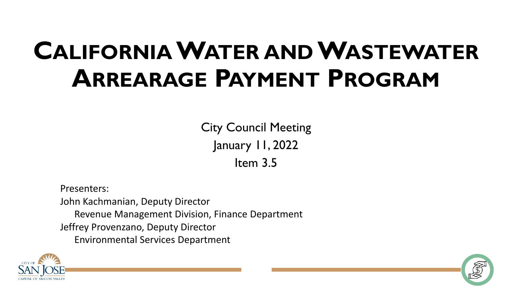## **CALIFORNIAWATER ANDWASTEWATER ARREARAGE PAYMENT PROGRAM**

City Council Meeting January 11, 2022 Item 3.5

Presenters: John Kachmanian, Deputy Director Revenue Management Division, Finance Department Jeffrey Provenzano, Deputy Director Environmental Services Department



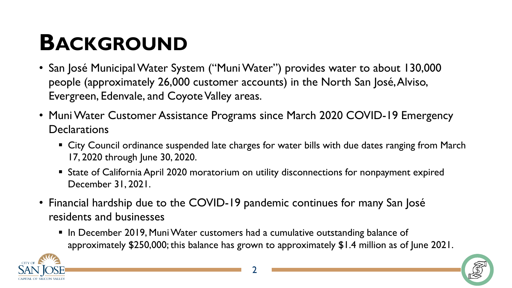## **BACKGROUND**

- San José Municipal Water System ("Muni Water") provides water to about 130,000 people (approximately 26,000 customer accounts) in the North San José, Alviso, Evergreen, Edenvale, and Coyote Valley areas.
- Muni Water Customer Assistance Programs since March 2020 COVID-19 Emergency **Declarations** 
	- City Council ordinance suspended late charges for water bills with due dates ranging from March 17, 2020 through June 30, 2020.
	- State of California April 2020 moratorium on utility disconnections for nonpayment expired December 31, 2021.
- Financial hardship due to the COVID-19 pandemic continues for many San José residents and businesses
	- In December 2019, Muni Water customers had a cumulative outstanding balance of approximately \$250,000; this balance has grown to approximately \$1.4 million as of June 2021.

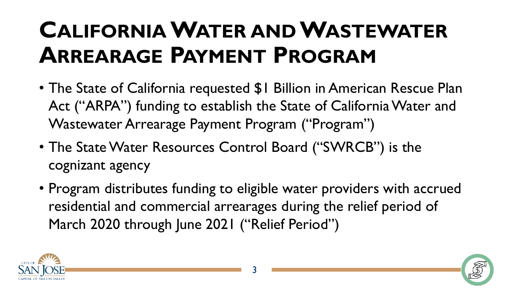## **CALIFORNIAWATER ANDWASTEWATER ARREARAGE PAYMENT PROGRAM**

- The State of California requested \$1 Billion in American Rescue Plan Act ("ARPA") funding to establish the State of California Water and Wastewater Arrearage Payment Program ("Program")
- The State Water Resources Control Board ("SWRCB") is the cognizant agency
- Program distributes funding to eligible water providers with accrued residential and commercial arrearages during the relief period of March 2020 through June 2021 ("Relief Period")



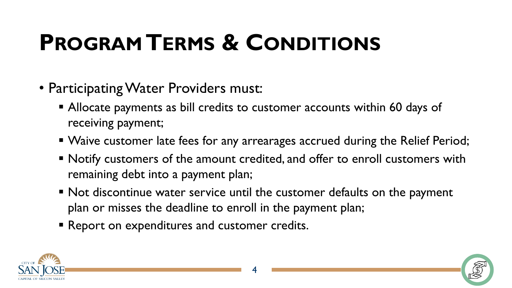## **PROGRAM TERMS & CONDITIONS**

- Participating Water Providers must:
	- Allocate payments as bill credits to customer accounts within 60 days of receiving payment;
	- Waive customer late fees for any arrearages accrued during the Relief Period;
	- Notify customers of the amount credited, and offer to enroll customers with remaining debt into a payment plan;
	- Not discontinue water service until the customer defaults on the payment plan or misses the deadline to enroll in the payment plan;
	- **Report on expenditures and customer credits.**



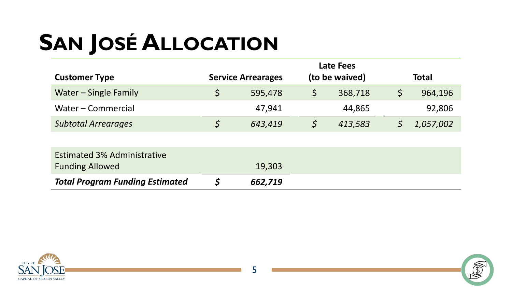# **SAN JOSÉ ALLOCATION**

|                            | <b>Late Fees</b>          |         |                |         |              |           |
|----------------------------|---------------------------|---------|----------------|---------|--------------|-----------|
| <b>Customer Type</b>       | <b>Service Arrearages</b> |         | (to be waived) |         | <b>Total</b> |           |
| Water – Single Family      |                           | 595,478 |                | 368,718 |              | 964,196   |
| Water – Commercial         |                           | 47,941  |                | 44,865  |              | 92,806    |
| <b>Subtotal Arrearages</b> |                           | 643,419 |                | 413,583 |              | 1,057,002 |

| <b>Estimated 3% Administrative</b><br><b>Funding Allowed</b> | 19,303  |  |
|--------------------------------------------------------------|---------|--|
|                                                              |         |  |
| <b>Total Program Funding Estimated</b>                       | 662,719 |  |



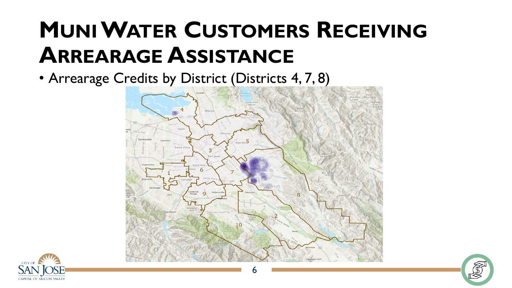### **MUNIWATER CUSTOMERS RECEIVING ARREARAGE ASSISTANCE**

• Arrearage Credits by District (Districts 4, 7, 8)